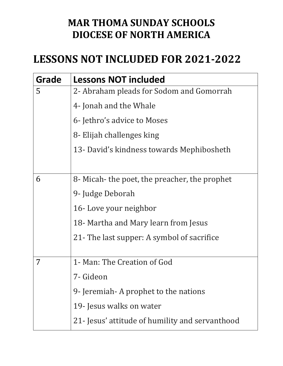## **MAR THOMA SUNDAY SCHOOLS DIOCESE OF NORTH AMERICA**

## LESSONS NOT INCLUDED FOR 2021-2022

| Grade | <b>Lessons NOT included</b>                     |
|-------|-------------------------------------------------|
| 5     | 2- Abraham pleads for Sodom and Gomorrah        |
|       | 4- Jonah and the Whale                          |
|       | 6- Jethro's advice to Moses                     |
|       | 8- Elijah challenges king                       |
|       | 13- David's kindness towards Mephibosheth       |
|       |                                                 |
| 6     | 8- Micah- the poet, the preacher, the prophet   |
|       | 9- Judge Deborah                                |
|       | 16-Love your neighbor                           |
|       | 18- Martha and Mary learn from Jesus            |
|       | 21 - The last supper: A symbol of sacrifice     |
|       |                                                 |
| 7     | 1- Man: The Creation of God                     |
|       | 7- Gideon                                       |
|       | 9- Jeremiah - A prophet to the nations          |
|       | 19- Jesus walks on water                        |
|       | 21- Jesus' attitude of humility and servanthood |